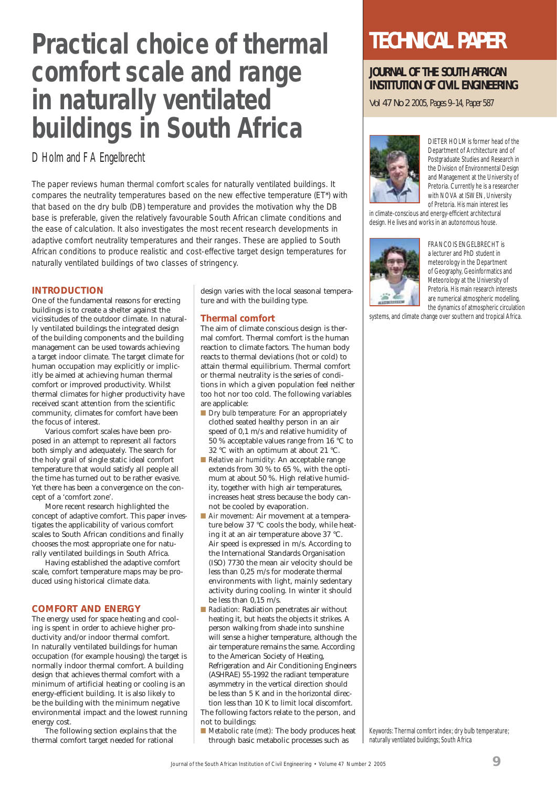# **Practical choice of thermal comfort scale and range in naturally ventilated buildings in South Africa**

D Holm and F A Engelbrecht

The paper reviews human thermal comfort scales for naturally ventilated buildings. It compares the neutrality temperatures based on the new effective temperature (ET\*) with that based on the dry bulb (DB) temperature and provides the motivation why the DB base is preferable, given the relatively favourable South African climate conditions and the ease of calculation. It also investigates the most recent research developments in adaptive comfort neutrality temperatures and their ranges. These are applied to South African conditions to produce realistic and cost-effective target design temperatures for naturally ventilated buildings of two classes of stringency.

#### **INTRODUCTION**

One of the fundamental reasons for erecting buildings is to create a shelter against the vicissitudes of the outdoor climate. In naturally ventilated buildings the integrated design of the building components and the building management can be used towards achieving a target indoor climate. The target climate for human occupation may explicitly or implicitly be aimed at achieving human thermal comfort or improved productivity. Whilst thermal climates for higher productivity have received scant attention from the scientific community, climates for comfort have been the focus of interest.

Various comfort scales have been proposed in an attempt to represent all factors both simply and adequately. The search for the holy grail of single static ideal comfort temperature that would satisfy all people all the time has turned out to be rather evasive. Yet there has been a convergence on the concept of a 'comfort zone'.

More recent research highlighted the concept of adaptive comfort. This paper investigates the applicability of various comfort scales to South African conditions and finally chooses the most appropriate one for naturally ventilated buildings in South Africa.

Having established the adaptive comfort scale, comfort temperature maps may be produced using historical climate data.

#### **COMFORT AND ENERGY**

The energy used for space heating and cooling is spent in order to achieve higher productivity and/or indoor thermal comfort. In naturally ventilated buildings for human occupation (for example housing) the target is normally indoor thermal comfort. A building design that achieves thermal comfort with a minimum of artificial heating or cooling is an energy-efficient building. It is also likely to be the building with the minimum negative environmental impact and the lowest running energy cost.

The following section explains that the thermal comfort target needed for rational

design varies with the local seasonal temperature and with the building type.

#### **Thermal comfort**

The aim of climate conscious design is thermal comfort. Thermal comfort is the human reaction to climate factors. The human body reacts to thermal deviations (hot or cold) to attain thermal equilibrium. Thermal comfort or thermal neutrality is the series of conditions in which a given population feel neither too hot nor too cold. The following variables are applicable:

- *Dry bulb temperature:* For an appropriately clothed seated healthy person in an air speed of 0,1 m/s and relative humidity of 50 % acceptable values range from 16 °C to 32 °C with an optimum at about 21 °C.
- *Relative air humidity:* An acceptable range extends from 30 % to 65 %, with the optimum at about 50 %. High relative humidity, together with high air temperatures, increases heat stress because the body cannot be cooled by evaporation.
- *Air movement:* Air movement at a temperature below 37 °C cools the body, while heating it at an air temperature above 37 °C. Air speed is expressed in m/s. According to the International Standards Organisation (ISO) 7730 the mean air velocity should be less than 0,25 m/s for moderate thermal environments with light, mainly sedentary activity during cooling. In winter it should be less than 0,15 m/s.
- *Radiation:* Radiation penetrates air without heating it, but heats the objects it strikes. A person walking from shade into sunshine will sense a higher temperature, although the air temperature remains the same. According to the American Society of Heating, Refrigeration and Air Conditioning Engineers (ASHRAE) 55-1992 the radiant temperature asymmetry in the vertical direction should be less than 5 K and in the horizontal direction less than 10 K to limit local discomfort. The following factors relate to the person, and not to buildings:
- *Metabolic rate (met):* The body produces heat through basic metabolic processes such as

## **TECHNICAL PAPER**

### **JOURNAL OF THE SOUTH AFRICAN INSTITUTION OF CIVIL ENGINEERING**

Vol 47 No 2 2005, Pages 9–14, Paper 587



DIETER HOLM is former head of the Department of Architecture and of Postgraduate Studies and Research in the Division of Environmental Design and Management at the University of Pretoria. Currently he is a researcher with NOVA at ISWEN, University of Pretoria. His main interest lies

in climate-conscious and energy-efficient architectural design. He lives and works in an autonomous house.



FRANCOIS ENGELBRECHT is a lecturer and PhD student in meteorology in the Department of Geography, Geoinformatics and Meteorology at the University of Pretoria. His main research interests are numerical atmospheric modelling, the dynamics of atmospheric circulation

systems, and climate change over southern and tropical Africa.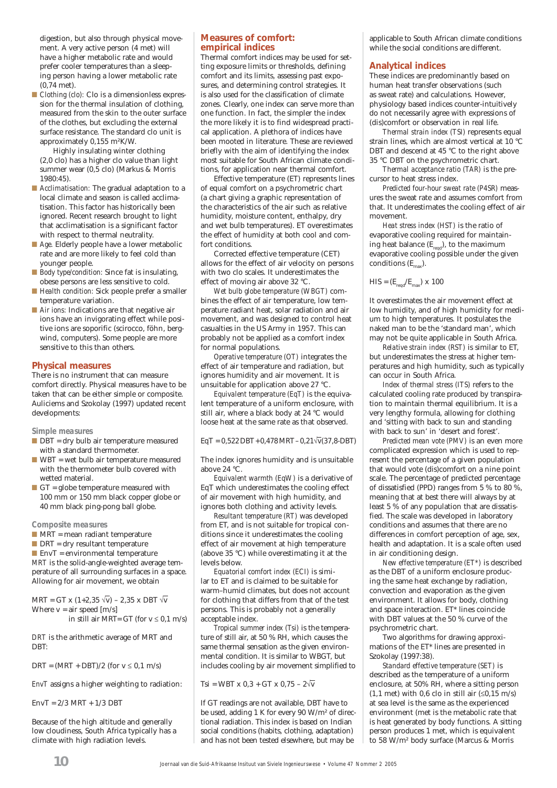digestion, but also through physical movement. A very active person (4 met) will have a higher metabolic rate and would prefer cooler temperatures than a sleeping person having a lower metabolic rate (0,74 met).

■ *Clothing (clo):* Clo is a dimensionless expression for the thermal insulation of clothing, measured from the skin to the outer surface of the clothes, but excluding the external surface resistance. The standard clo unit is approximately 0,155 m²K/W.

 Highly insulating winter clothing (2,0 clo) has a higher clo value than light summer wear (0,5 clo) (Markus & Morris 1980:45).

- *Acclimatisation:* The gradual adaptation to a local climate and season is called acclimatisation. This factor has historically been ignored. Recent research brought to light that acclimatisation is a significant factor with respect to thermal neutrality.
- *Age.* Elderly people have a lower metabolic rate and are more likely to feel cold than younger people.
- *Body type/condition:* Since fat is insulating, obese persons are less sensitive to cold.
- *Health condition:* Sick people prefer a smaller temperature variation.
- *Air ions:* Indications are that negative air ions have an invigorating effect while positive ions are soporific (scirocco, föhn, bergwind, computers). Some people are more sensitive to this than others.

#### **Physical measures**

There is no instrument that can measure comfort directly. Physical measures have to be taken that can be either simple or composite. Auliciems and Szokolay (1997) updated recent developments:

#### *Simple measures*

- DBT = dry bulb air temperature measured with a standard thermometer.
- WBT = wet bulb air temperature measured with the thermometer bulb covered with wetted material.
- $\Box$  GT = globe temperature measured with 100 mm or 150 mm black copper globe or 40 mm black ping-pong ball globe.

#### *Composite measures*

- MRT = mean radiant temperature
- $\blacksquare$  DRT = dry resultant temperature

 $\blacksquare$  EnvT = environmental temperature *MRT* is the solid-angle-weighted average temperature of all surrounding surfaces in a space. Allowing for air movement, we obtain

MRT = GT x (1+2,35  $\forall$ v) – 2,35 x DBT  $\forall$ v Where  $v = air$  speed  $[m/s]$ 

in still air MRT= GT (for  $v \le 0.1$  m/s)

*DRT* is the arithmetic average of MRT and DBT:

 $DRT = (MRT + DBT)/2$  (for  $v \le 0.1$  m/s)

*EnvT* assigns a higher weighting to radiation:

 $EnvT = 2/3 MRT + 1/3 DBT$ 

Because of the high altitude and generally low cloudiness, South Africa typically has a climate with high radiation levels.

#### **Measures of comfort: empirical indices**

Thermal comfort indices may be used for setting exposure limits or thresholds, defining comfort and its limits, assessing past exposures, and determining control strategies. It is also used for the classification of climate zones. Clearly, one index can serve more than one function. In fact, the simpler the index the more likely it is to find widespread practical application. A plethora of indices have been mooted in literature. These are reviewed briefly with the aim of identifying the index most suitable for South African climate conditions, for application near thermal comfort.

Effective temperature (ET) represents lines of equal comfort on a psychrometric chart (a chart giving a graphic representation of the characteristics of the air such as relative humidity, moisture content, enthalpy, dry and wet bulb temperatures). ET overestimates the effect of humidity at both cool and comfort conditions.

Corrected effective temperature (CET) allows for the effect of air velocity on persons with two clo scales. It underestimates the effect of moving air above 32 °C.

*Wet bulb globe temperature (WBGT)* combines the effect of air temperature, low temperature radiant heat, solar radiation and air movement, and was designed to control heat casualties in the US Army in 1957. This can probably not be applied as a comfort index for normal populations.

*Operative temperature (OT)* integrates the effect of air temperature and radiation, but ignores humidity and air movement. It is unsuitable for application above 27 °C.

*Equivalent temperature (EqT)* is the equivalent temperature of a uniform enclosure, with still air, where a black body at 24 °C would loose heat at the same rate as that observed.

 $EqT = 0,522$  DBT + 0,478 MRT – 0,21 $\sqrt{v}$ (37,8-DBT)

The index ignores humidity and is unsuitable above 24 °C.

*Equivalent warmth (EqW)* is a derivative of EqT which underestimates the cooling effect of air movement with high humidity, and ignores both clothing and activity levels.

*Resultant temperature (RT)* was developed from ET, and is not suitable for tropical conditions since it underestimates the cooling effect of air movement at high temperature (above 35 °C) while overestimating it at the levels below.

*Equatorial comfort index (ECI)* is similar to ET and is claimed to be suitable for warm–humid climates, but does not account for clothing that differs from that of the test persons. This is probably not a generally acceptable index.

*Tropical summer index (Tsi)* is the temperature of still air, at 50 % RH, which causes the same thermal sensation as the given environmental condition. It is similar to WBGT, but includes cooling by air movement simplified to

Tsi = WBT x 0,3 + GT x 0,75 – 2√v

If GT readings are not available, DBT have to be used, adding 1 K for every 90 W/m² of directional radiation. This index is based on Indian social conditions (habits, clothing, adaptation) and has not been tested elsewhere, but may be

applicable to South African climate conditions while the social conditions are different.

#### **Analytical indices**

These indices are predominantly based on human heat transfer observations (such as sweat rate) and calculations. However, physiology based indices counter-intuitively do not necessarily agree with expressions of (dis)comfort or observation in real life.

*Thermal strain index (TSI)* represents equal strain lines, which are almost vertical at 10 °C DBT and descend at 45 °C to the right above 35 °C DBT on the psychrometric chart.

*Thermal acceptance ratio (TAR)* is the precursor to heat stress index.

*Predicted four-hour sweat rate (P4SR)* measures the sweat rate and assumes comfort from that. It underestimates the cooling effect of air movement.

*Heat stress index (HST)* is the ratio of evaporative cooling required for maintaining heat balance  $(E_{\text{read}})$ , to the maximum evaporative cooling possible under the given  $conditions(E_$ ).

$$
HIS = (E_{\text{req}}/E_{\text{max}}) \times 100
$$

It overestimates the air movement effect at low humidity, and of high humidity for medium to high temperatures. It postulates the naked man to be the 'standard man', which may not be quite applicable in South Africa.

*Relative strain index (RST)* is similar to ET, but underestimates the stress at higher temperatures and high humidity, such as typically can occur in South Africa.

*Index of thermal stress (ITS)* refers to the calculated cooling rate produced by transpiration to maintain thermal equilibrium. It is a very lengthy formula, allowing for clothing and 'sitting with back to sun and standing with back to sun' in 'desert and forest'.

*Predicted mean vote (PMV)* is an even more complicated expression which is used to represent the percentage of a given population that would vote (dis)comfort on a nine point scale. The percentage of predicted percentage of dissatisfied (PPD) ranges from 5 % to 80 %, meaning that at best there will always by at least 5 % of any population that are dissatisfied. The scale was developed in laboratory conditions and assumes that there are no differences in comfort perception of age, sex, health and adaptation. It is a scale often used in air conditioning design.

*New effective temperature (ET\*)* is described as the DBT of a uniform enclosure producing the same heat exchange by radiation, convection and evaporation as the given environment. It allows for body, clothing and space interaction. ET\* lines coincide with DBT values at the 50 % curve of the psychrometric chart.

Two algorithms for drawing approximations of the ET\* lines are presented in Szokolay (1997:38).

*Standard effective temperature (SET)* is described as the temperature of a uniform enclosure, at 50% RH, where a sitting person (1.1 met) with 0.6 clo in still air  $(\leq 0.15 \text{ m/s})$ at sea level is the same as the experienced environment (met is the metabolic rate that is heat generated by body functions. A sitting person produces 1 met, which is equivalent to 58 W/m² body surface (Marcus & Morris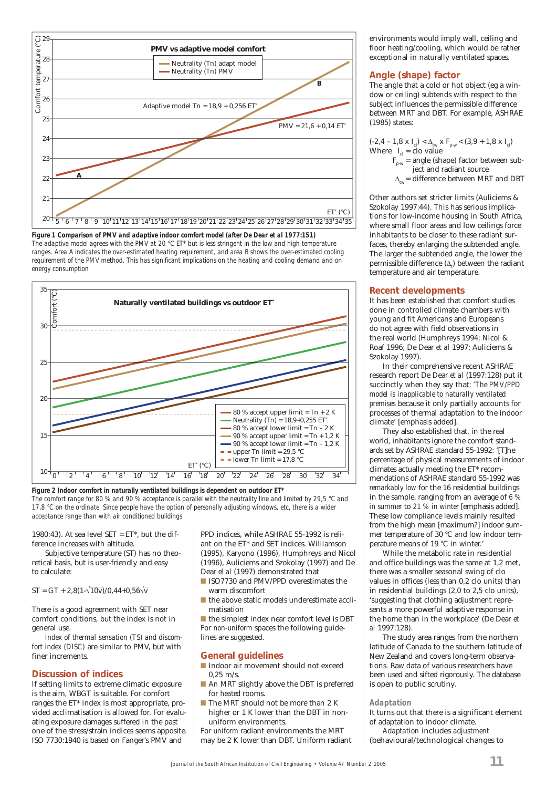

*Figure 1 Comparison of PMV and adaptive indoor comfort model (after De Dear et al 1977:151) The adaptive model agrees with the PMV at 20 °C ET\* but is less stringent in the low and high temperature ranges. Area A indicates the over-estimated heating requirement, and area B shows the over-estimated cooling requirement of the PMV method. This has significant implications on the heating and cooling demand and on energy consumption*



*Figure 2 Indoor comfort in naturally ventilated buildings is dependent on outdoor ET\* The comfort range for 80 % and 90 % acceptance is parallel with the neutrality line and limited by 29,5 °C and 17,8 °C on the ordinate. Since people have the option of personally adjusting windows, etc, there is a wider acceptance range than with air conditioned buildings*

1980:43). At sea level SET =  $ET^*$ , but the difference increases with altitude.

Subjective temperature (ST) has no theoretical basis, but is user-friendly and easy to calculate:

#### $ST = GT + 2,8(1-\sqrt{10}v)/0,44+0,56\sqrt{v}$

There is a good agreement with SET near comfort conditions, but the index is not in general use.

*Index of thermal sensation (TS) and discomfort index (DISC)* are similar to PMV, but with finer increments.

#### **Discussion of indices**

If setting limits to extreme climatic exposure is the aim, WBGT is suitable. For comfort ranges the ET\* index is most appropriate, provided acclimatisation is allowed for. For evaluating exposure damages suffered in the past one of the stress/strain indices seems apposite. ISO 7730:1940 is based on Fanger's PMV and

PPD indices, while ASHRAE 55-1992 is reliant on the ET\* and SET indices. Williamson (1995), Karyono (1996), Humphreys and Nicol (1996), Auliciems and Szokolay (1997) and De Dear *el al* (1997) demonstrated that

- ISO7730 and PMV/PPD overestimates the warm discomfort
- the above static models underestimate acclimatisation

■ the simplest index near comfort level is DBT For *non-uniform* spaces the following guidelines are suggested.

#### **General guidelines**

- Indoor air movement should not exceed  $0.25$  m/s.
- An MRT slightly above the DBT is preferred for *heated* rooms.
- The MRT should not be more than 2 K higher or 1 K lower than the DBT in nonuniform environments.

For *uniform* radiant environments the MRT may be 2 K lower than DBT. Uniform radiant environments would imply wall, ceiling and floor heating/cooling, which would be rather exceptional in naturally ventilated spaces.

#### **Angle (shape) factor**

The angle that a cold or hot object (eg a window or ceiling) subtends with respect to the subject influences the permissible difference between MRT and DBT. For example, ASHRAE (1985) states:

(-2,4 – 1,8 x I<sub>cl</sub>) <  $\Delta_{\text{tw}}$  x F<sub>p-w</sub> < (3,9 + 1,8 x I<sub>cl</sub>) Where  $I_{cl}$  = clo value

- $\overrightarrow{F}_{p-w}$  = angle (shape) factor between subject and radiant source
- $\Delta_{\text{tw}}$  = difference between MRT and DBT

Other authors set stricter limits (Auliciems & Szokolay 1997:44). This has serious implications for low-income housing in South Africa, where small floor areas and low ceilings force inhabitants to be closer to these radiant surfaces, thereby enlarging the subtended angle. The larger the subtended angle, the lower the permissible difference  $(\Delta_{\mu})$  between the radiant temperature and air temperature.

#### **Recent developments**

It has been established that comfort studies done in controlled climate chambers with young and fit Americans and Europeans do not agree with field observations in the real world (Humphreys 1994; Nicol & Roaf 1996; De Dear *et al* 1997; Auliciems & Szokolay 1997).

In their comprehensive recent ASHRAE research report De Dear *et al* (1997:128) put it succinctly when they say that: *'The PMV/PPD model is inapplicable to naturally ventilated premises* because it only partially accounts for processes of thermal adaptation to the indoor climate' [emphasis added].

They also established that, in the real world, inhabitants ignore the comfort standards set by ASHRAE standard 55-1992: '[T]he percentage of physical measurements of indoor climates actually meeting the ET\* recommendations of ASHRAE standard 55-1992 was *remarkably low* for the 16 residential buildings in the sample, ranging from an average of *6 % in summer* to *21 % in winter* [emphasis added]. These low compliance levels mainly resulted from the high mean [maximum?] indoor summer temperature of 30 °C and low indoor temperature means of 19 °C in winter.'

While the metabolic rate in residential and office buildings was the same at 1,2 met, there was a smaller seasonal swing of clo values in offices (less than 0,2 clo units) than in residential buildings (2,0 to 2,5 clo units), 'suggesting that clothing adjustment represents a more powerful adaptive response in the home than in the workplace' (De Dear *et al* 1997:128).

The study area ranges from the northern latitude of Canada to the southern latitude of New Zealand and covers long-term observations. Raw data of various researchers have been used and sifted rigorously. The database is open to public scrutiny.

#### *Adaptation*

It turns out that there is a significant element of adaptation to indoor climate.

*Adaptation* includes *adjustment* (behavioural/technological changes to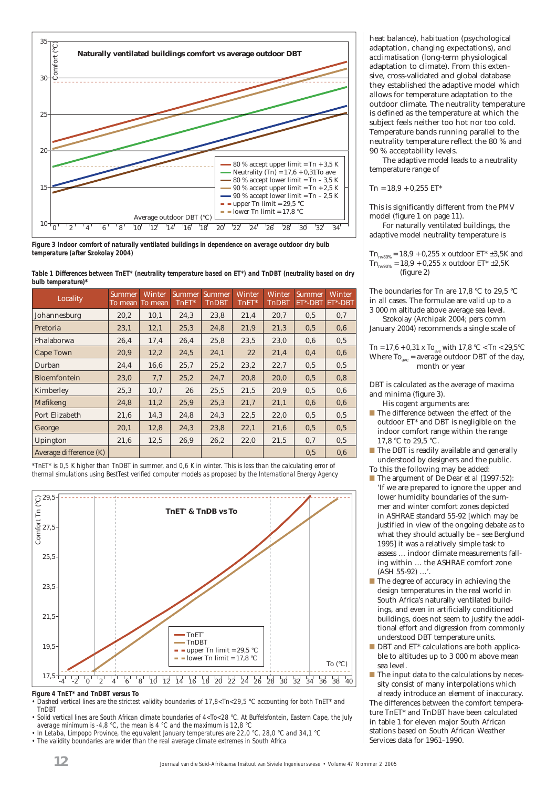

*Figure 3 Indoor comfort of naturally ventilated buildings in dependence on average outdoor dry bulb temperature (after Szokolay 2004)*

| Table 1 Differences between TnET* (neutrality temperature based on ET*) and TnDBT (neutrality based on dry |  |  |  |  |  |
|------------------------------------------------------------------------------------------------------------|--|--|--|--|--|
| bulb temperature)*                                                                                         |  |  |  |  |  |

| Locality               | Summer<br>To mean To mean | <b>Winter</b> | <b>Summer</b><br>TnET* | <b>Summer</b><br><b>TnDBT</b> | <b>Winter</b><br>TnET* | Winter<br><b>TnDBT</b> | Summer,<br>ET*-DBT | <b>Winter</b><br>ET*-DBT |
|------------------------|---------------------------|---------------|------------------------|-------------------------------|------------------------|------------------------|--------------------|--------------------------|
| Johannesburg           | 20,2                      | 10,1          | 24,3                   | 23,8                          | 21,4                   | 20,7                   | 0.5                | 0,7                      |
| Pretoria               | 23,1                      | 12,1          | 25,3                   | 24,8                          | 21,9                   | 21,3                   | 0.5                | 0,6                      |
| Phalaborwa             | 26,4                      | 17,4          | 26,4                   | 25,8                          | 23,5                   | 23,0                   | 0,6                | 0,5                      |
| Cape Town              | 20,9                      | 12,2          | 24,5                   | 24,1                          | 22                     | 21,4                   | 0,4                | 0,6                      |
| Durban                 | 24,4                      | 16,6          | 25,7                   | 25,2                          | 23,2                   | 22,7                   | 0.5                | 0.5                      |
| <b>Bloemfontein</b>    | 23,0                      | 7,7           | 25,2                   | 24,7                          | 20,8                   | 20,0                   | 0.5                | 0,8                      |
| Kimberley              | 25,3                      | 10,7          | 26                     | 25,5                          | 21,5                   | 20,9                   | 0.5                | 0,6                      |
| Mafikeng               | 24,8                      | 11,2          | 25,9                   | 25,3                          | 21,7                   | 21,1                   | 0,6                | 0,6                      |
| Port Elizabeth         | 21,6                      | 14,3          | 24,8                   | 24,3                          | 22,5                   | 22,0                   | 0.5                | 0.5                      |
| George                 | 20,1                      | 12,8          | 24,3                   | 23,8                          | 22.1                   | 21,6                   | 0.5                | 0.5                      |
| Upington               | 21,6                      | 12,5          | 26,9                   | 26,2                          | 22,0                   | 21,5                   | 0,7                | 0.5                      |
| Average difference (K) |                           |               |                        |                               |                        |                        | 0.5                | 0,6                      |

*\*TnET\* is 0,5 K higher than TnDBT in summer, and 0,6 K in winter. This is less than the calculating error of thermal simulations using BestTest verified computer models as proposed by the International Energy Agency*



*• Dashed vertical lines are the strictest validity boundaries of 17,8<Tn<29,5 °C accounting for both TnET\* and TnDBT*

*• Solid vertical lines are South African climate boundaries of 4<To<28 °C. At Buffelsfontein, Eastern Cape, the July average minimum is -4,8 °C, the mean is 4 °C and the maximum is 12,8 °C*

*• In Letaba, Limpopo Province, the equivalent January temperatures are 22,0 °C, 28,0 °C and 34,1 °C • The validity boundaries are wider than the real average climate extremes in South Africa*

heat balance), *habituation* (psychological adaptation, changing expectations), and *acclimatisation* (long-term physiological adaptation to climate). From this extensive, cross-validated and global database they established the adaptive model which allows for temperature adaptation to the outdoor climate. The neutrality temperature is defined as the temperature at which the subject feels neither too hot nor too cold. Temperature bands running parallel to the neutrality temperature reflect the 80 % and 90 % acceptability levels.

The adaptive model leads to a neutrality temperature range of

 $Tn = 18.9 + 0.255 E T^*$ 

This is significantly different from the PMV model (figure 1 on page 11).

For naturally ventilated buildings, the adaptive model neutrality temperature is

 $Tn_{\text{m}80\%} = 18.9 + 0.255$  x outdoor  $ET^* \pm 3.5$ K and  $Tn_{av90\%} = 18.9 + 0.255$  x outdoor  $ET^* \pm 2.5K$ (figure 2)

The boundaries for Tn are 17,8 °C to 29,5 °C in all cases. The formulae are valid up to a 3 000 m altitude above average sea level.

Szokolay (Archipak 2004; pers comm January 2004) recommends a single scale of

Tn = 17,6 + 0,31 x To<sub>ave</sub> with 17,8 °C < Tn < 29,5 °C Where  $To_{ave} = average outdoor DBT$  of the day, month or year

DBT is calculated as the average of maxima and minima (figure 3).

His cogent arguments are:

- The difference between the effect of the outdoor ET\* and DBT is negligible on the indoor comfort range within the range 17,8 °C to 29,5 °C.
- The DBT is readily available and generally understood by designers and the public.
- To this the following may be added:
- The argument of De Dear *et al* (1997:52): 'If we are prepared to ignore the upper and lower humidity boundaries of the summer and winter comfort zones depicted in ASHRAE standard 55-92 [which may be justified in view of the ongoing debate as to what they should actually be – see Berglund 1995] it was a relatively simple task to assess … indoor climate measurements falling within … the ASHRAE comfort zone (ASH 55-92) …'.
- The degree of accuracy in achieving the design temperatures in the real world in South Africa's naturally ventilated buildings, and even in artificially conditioned buildings, does not seem to justify the additional effort and digression from commonly understood DBT temperature units.
- DBT and ET<sup>\*</sup> calculations are both applicable to altitudes up to 3 000 m above mean sea level.
- The input data to the calculations by necessity consist of many interpolations which

already introduce an element of inaccuracy. The differences between the comfort temperature TnET\* and TnDBT have been calculated in table 1 for eleven major South African stations based on South African Weather Services data for 1961–1990.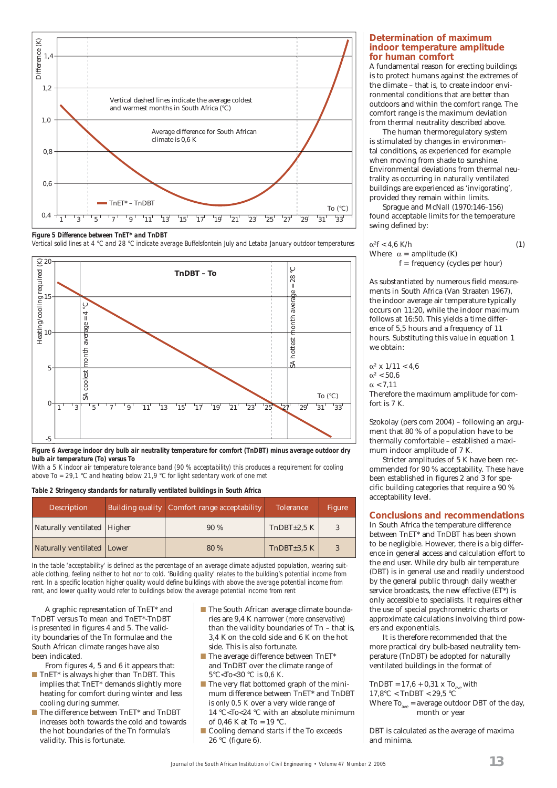

*Figure 5 Difference between TnET\* and TnDBT* 

*Vertical solid lines at 4 °C and 28 °C indicate average Buffelsfontein July and Letaba January outdoor temperatures*





*With a 5 K indoor air temperature tolerance band (90 % acceptability) this produces a requirement for cooling above To = 29,1 °C and heating below 21,9 °C for light sedentary work of one met*

#### *Table 2 Stringency standards for naturally ventilated buildings in South Africa*

| <b>Description</b>            | Building quality   Comfort range acceptability | <b>Tolerance</b> | Figure |
|-------------------------------|------------------------------------------------|------------------|--------|
| Naturally ventilated   Higher | 90%                                            | $ThDBT\pm2.5 K$  |        |
| Naturally ventilated Lower    | 80 %                                           | ThDBT±3.5 K      |        |

*In the table 'acceptability' is defined as the percentage of an average climate adjusted population, wearing suitable clothing, feeling neither to hot nor to cold. 'Building quality' relates to the building's potential income from*  rent. In a specific location higher quality would define buildings with above the average potential income from *rent, and lower quality would refer to buildings below the average potential income from rent*

A graphic representation of TnET\* and TnDBT versus To mean and TnET\*-TnDBT is presented in figures 4 and 5. The validity boundaries of the Tn formulae and the South African climate ranges have also been indicated.

From figures 4, 5 and 6 it appears that:

- TnET\* is always *higher* than TnDBT. This implies that TnET\* demands slightly more heating for comfort during winter and less cooling during summer.
- The difference between TnET<sup>\*</sup> and TnDBT *increases* both towards the cold and towards the hot boundaries of the Tn formula's validity. This is fortunate.
- The South African average climate boundaries are 9,4 K narrower *(more conservative)* than the validity boundaries of Tn – that is, 3,4 K on the cold side and 6 K on the hot side. This is also fortunate.
- The average difference between TnET<sup>\*</sup> and TnDBT over the climate range of 5°C<To<30 °C is *0,6 K*.
- The very flat bottomed graph of the minimum difference between TnET\* and TnDBT is *only 0,5 K* over a very wide range of 14 °C<To<24 °C with an absolute minimum of 0,46 K at To =  $19 °C$ .
- Cooling demand *starts* if the To exceeds 26 °C (figure 6).

#### **Determination of maximum indoor temperature amplitude for human comfort**

A fundamental reason for erecting buildings is to protect humans against the extremes of the climate – that is, to create indoor environmental conditions that are better than outdoors and within the comfort range. The comfort range is the maximum deviation from thermal neutrality described above.

The human thermoregulatory system is stimulated by changes in environmental conditions, as experienced for example when moving from shade to sunshine. Environmental deviations from thermal neutrality as occurring in naturally ventilated buildings are experienced as 'invigorating', provided they remain within limits.

Sprague and McNall (1970:146–156) found acceptable limits for the temperature swing defined by:

$$
\alpha^2 f < 4.6 \text{ K/h} \tag{1}
$$
\nWhere  $\alpha = \text{amplitude (K)}$ 

\n
$$
f = \text{frequency (cycles per hour)}
$$

As substantiated by numerous field measurements in South Africa (Van Straaten 1967), the indoor average air temperature typically occurs on 11:20, while the indoor maximum follows at 16:50. This yields a time difference of 5,5 hours and a frequency of 11 hours. Substituting this value in equation 1 we obtain:

 $\alpha^2 \times 1/11 < 4.6$  $\alpha^2$  < 50.6  $\alpha$  < 7,11 Therefore the maximum amplitude for comfort is 7 K.

Szokolay (pers com 2004) – following an argument that 80 % of a population have to be thermally comfortable – established a maximum indoor amplitude of 7 K.

Stricter amplitudes of 5 K have been recommended for 90 % acceptability. These have been established in figures 2 and 3 for specific building categories that require a 90 % acceptability level.

#### **Conclusions and recommendations**

In South Africa the temperature difference between TnET\* and TnDBT has been shown to be negligible. However, there is a big difference in general access and calculation effort to the end user. While dry bulb air temperature (DBT) is in general use and readily understood by the general public through daily weather service broadcasts, the new effective (ET\*) is only accessible to specialists. It requires either the use of special psychrometric charts or approximate calculations involving third powers and exponentials.

It is therefore recommended that the more practical dry bulb-based neutrality temperature (TnDBT) be adopted for naturally ventilated buildings in the format of

TnDBT =  $17.6 + 0.31 \times To_{ave}$  with  $17.8^{\circ}$ C < TnDBT < 29.5  $^{\circ}$ C Where  $To_{\text{max}}$  = average outdoor DBT of the day, month or year

DBT is calculated as the average of maxima and minima.